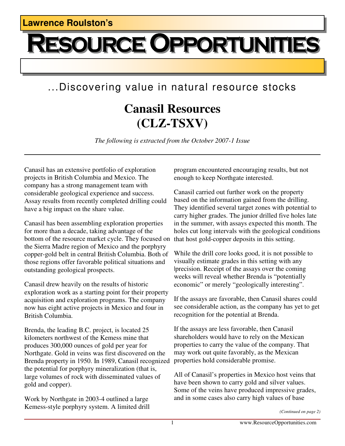## **OURCE OPPORTUNITIES**

## ...Discovering value in natural resource stocks

## **Canasil Resources (CLZ-TSXV)**

*The following is extracted from the October 2007-1 Issue* 

Canasil has an extensive portfolio of exploration projects in British Columbia and Mexico. The company has a strong management team with considerable geological experience and success. Assay results from recently completed drilling could have a big impact on the share value.

Canasil has been assembling exploration properties for more than a decade, taking advantage of the bottom of the resource market cycle. They focused on the Sierra Madre region of Mexico and the porphyry copper-gold belt in central British Columbia. Both of those regions offer favorable political situations and outstanding geological prospects.

Canasil drew heavily on the results of historic exploration work as a starting point for their property acquisition and exploration programs. The company now has eight active projects in Mexico and four in British Columbia.

Brenda, the leading B.C. project, is located 25 kilometers northwest of the Kemess mine that produces 300,000 ounces of gold per year for Northgate. Gold in veins was first discovered on the Brenda property in 1950. In 1989, Canasil recognized the potential for porphyry mineralization (that is, large volumes of rock with disseminated values of gold and copper).

Work by Northgate in 2003-4 outlined a large Kemess-style porphyry system. A limited drill program encountered encouraging results, but not enough to keep Northgate interested.

Canasil carried out further work on the property based on the information gained from the drilling. They identified several target zones with potential to carry higher grades. The junior drilled five holes late in the summer, with assays expected this month. The holes cut long intervals with the geological conditions that host gold-copper deposits in this setting.

While the drill core looks good, it is not possible to visually estimate grades in this setting with any |precision. Receipt of the assays over the coming weeks will reveal whether Brenda is "potentially economic" or merely "geologically interesting".

If the assays are favorable, then Canasil shares could see considerable action, as the company has yet to get recognition for the potential at Brenda.

If the assays are less favorable, then Canasil shareholders would have to rely on the Mexican properties to carry the value of the company. That may work out quite favorably, as the Mexican properties hold considerable promise.

All of Canasil's properties in Mexico host veins that have been shown to carry gold and silver values. Some of the veins have produced impressive grades, and in some cases also carry high values of base

*<sup>(</sup>Continued on page 2)*